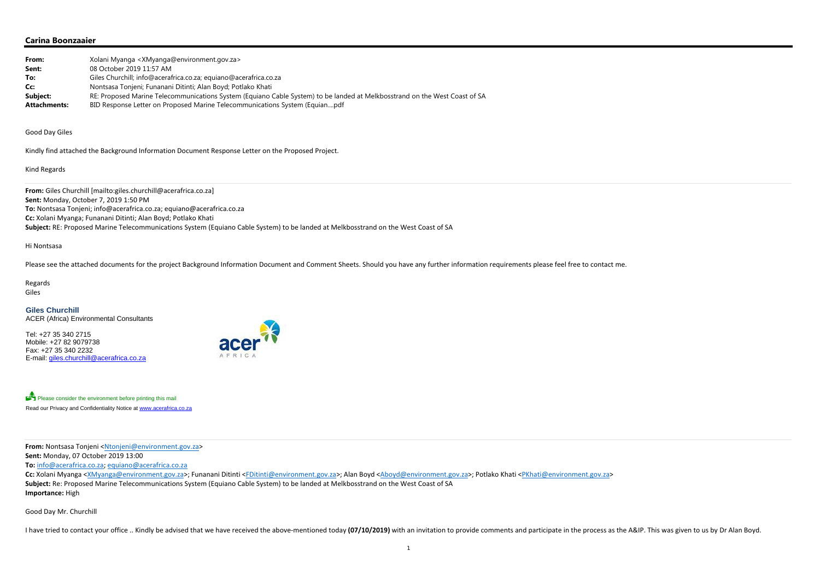# **Carina Boonzaaier**

| From:               | Xolani Myanga < XMyanga@environment.gov.za>                                                                                |
|---------------------|----------------------------------------------------------------------------------------------------------------------------|
| Sent:               | 08 October 2019 11:57 AM                                                                                                   |
| To:                 | Giles Churchill; info@acerafrica.co.za; equiano@acerafrica.co.za                                                           |
| Cc:                 | Nontsasa Tonjeni; Funanani Ditinti; Alan Boyd; Potlako Khati                                                               |
| Subject:            | RE: Proposed Marine Telecommunications System (Equiano Cable System) to be landed at Melkbosstrand on the West Coast of SA |
| <b>Attachments:</b> | BID Response Letter on Proposed Marine Telecommunications System (Equianpdf                                                |

### Good Day Giles

Kindly find attached the Background Information Document Response Letter on the Proposed Project.

## Kind Regards

**From:** Giles Churchill [mailto:giles.churchill@acerafrica.co.za] **Sent:** Monday, October 7, 2019 1:50 PM **To:** Nontsasa Tonjeni; info@acerafrica.co.za; equiano@acerafrica.co.za **Cc:** Xolani Myanga; Funanani Ditinti; Alan Boyd; Potlako Khati **Subject:** RE: Proposed Marine Telecommunications System (Equiano Cable System) to be landed at Melkbosstrand on the West Coast of SA

#### Hi Nontsasa

II have tried to contact your office .. Kindly be advised that we have received the above-mentioned today (07/10/2019) with an invitation to provide comments and participate in the process as the A&IP. This was given to us

Please see the attached documents for the project Background Information Document and Comment Sheets. Should you have any further information requirements please feel free to contact me.

Regards Giles

#### **Giles Churchill** ACER (Africa) Environmental Consultants

Tel: +27 35 340 2715 Mobile: +27 82 9079738 Fax: +27 35 340 2232 E-mail: giles.churchill@acerafrica.co.za



Please consider the environment before printing this mail Read our Privacy and Confidentiality Notice at www.acerafrica.co.za

**From:** Nontsasa Tonjeni <<u>Ntonjeni@environment.gov.za</u>>

**Sent:** Monday, 07 October 2019 13:00

**To:** info@acerafrica.co.za; equiano@acerafrica.co.za

**Cc:** Xolani Myanga <XMyanga@environment.gov.za>; Funanani Ditinti <FDitinti@environment.gov.za>; Alan Boyd <Aboyd@environment.gov.za>; Potlako Khati <PKhati@environment.gov.za> **Subject:** Re: Proposed Marine Telecommunications System (Equiano Cable System) to be landed at Melkbosstrand on the West Coast of SA **Importance:** High

Good Day Mr. Churchill